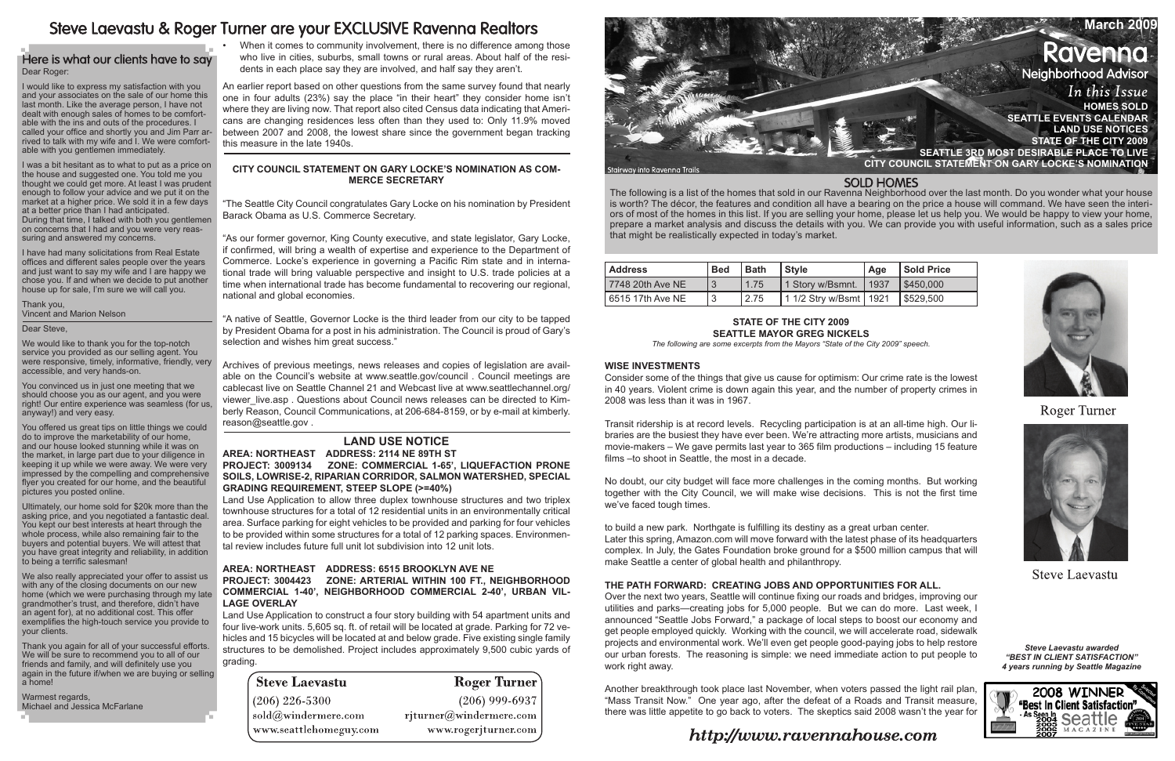The following is a list of the homes that sold in our Ravenna Neighborhood over the last month. Do you wonder what your house is worth? The décor, the features and condition all have a bearing on the price a house will command. We have seen the interiors of most of the homes in this list. If you are selling your home, please let us help you. We would be happy to view your home, prepare a market analysis and discuss the details with you. We can provide you with useful information, such as a sales price that might be realistically expected in today's market.

Transit ridership is at record levels. Recycling participation is at an all-time high. Our libraries are the busiest they have ever been. We're attracting more artists, musicians and movie-makers – We gave permits last year to 365 film productions – including 15 feature films –to shoot in Seattle, the most in a decade.

> *Steve Laevastu awarded "Best In Client Satisfaction" 4 years running by Seattle Magazine*



| l Address        | <b>Bed</b> | <b>Bath</b> | <b>Style</b>             | Age | Sold Price |
|------------------|------------|-------------|--------------------------|-----|------------|
| 7748 20th Ave NE |            | 1.75        | 1 Story w/Bsmnt.   1937  |     | \$450,000  |
| 5515 17th Ave NE |            | 2.75        | 1 1/2 Stry w/Bsmt   1921 |     | \$529,500  |

# **State of the City 2009 Seattle Mayor Greg Nickels**

*The following are some excerpts from the Mayors "State of the City 2009" speech.*

# **Wise investments**

Consider some of the things that give us cause for optimism: Our crime rate is the lowest in 40 years. Violent crime is down again this year, and the number of property crimes in 2008 was less than it was in 1967.

When it comes to community involvement, there is no difference among those who live in cities, suburbs, small towns or rural areas. About half of the residents in each place say they are involved, and half say they aren't.

> No doubt, our city budget will face more challenges in the coming months. But working together with the City Council, we will make wise decisions. This is not the first time we've faced tough times.

> to build a new park. Northgate is fulfilling its destiny as a great urban center. Later this spring, Amazon.com will move forward with the latest phase of its headquarters complex. In July, the Gates Foundation broke ground for a \$500 million campus that will make Seattle a center of global health and philanthropy.

# **The path forward: Creating jobs and opportunities for all.**

Over the next two years, Seattle will continue fixing our roads and bridges, improving our utilities and parks—creating jobs for 5,000 people. But we can do more. Last week, I announced "Seattle Jobs Forward," a package of local steps to boost our economy and get people employed quickly. Working with the council, we will accelerate road, sidewalk projects and environmental work. We'll even get people good-paying jobs to help restore our urban forests. The reasoning is simple: we need immediate action to put people to work right away.

Another breakthrough took place last November, when voters passed the light rail plan, "Mass Transit Now." One year ago, after the defeat of a Roads and Transit measure, there was little appetite to go back to voters. The skeptics said 2008 wasn't the year for

# http://www.ravennahouse.com

# **SOLD HOMES**





**Roger Turner** 



**Steve Laevastu** 



# Steve Laevastu & Roger Turner are your EXCLUSIVE Ravenna Realtors

# Here is what our clients have to say Dear Roger:

An earlier report based on other questions from the same survey found that nearly one in four adults (23%) say the place "in their heart" they consider home isn't where they are living now. That report also cited Census data indicating that Americans are changing residences less often than they used to: Only 11.9% moved between 2007 and 2008, the lowest share since the government began tracking this measure in the late 1940s.

# **CITY COUNCIL STATEMENT ON GARY LOCKE'S NOMINATION AS COM-MERCE SECRETARY**

"The Seattle City Council congratulates Gary Locke on his nomination by President Barack Obama as U.S. Commerce Secretary.

"As our former governor, King County executive, and state legislator, Gary Locke, if confirmed, will bring a wealth of expertise and experience to the Department of Commerce. Locke's experience in governing a Pacific Rim state and in international trade will bring valuable perspective and insight to U.S. trade policies at a time when international trade has become fundamental to recovering our regional, national and global economies.

"A native of Seattle, Governor Locke is the third leader from our city to be tapped by President Obama for a post in his administration. The Council is proud of Gary's selection and wishes him great success."

We also really appreciated your offer to assist us with any of the closing documents on our new home (which we were purchasing through my late grandmother's trust, and therefore, didn't have an agent for), at no additional cost. This offer exemplifies the high-touch service you provide to your clients.

Archives of previous meetings, news releases and copies of legislation are available on the Council's website at www.seattle.gov/council . Council meetings are cablecast live on Seattle Channel 21 and Webcast live at www.seattlechannel.org/ viewer live.asp . Questions about Council news releases can be directed to Kimberly Reason, Council Communications, at 206-684-8159, or by e-mail at kimberly. reason@seattle.gov .

# **LAND USE NOTICE**

**Area: Northeast Address: 2114 NE 89TH ST Project: 3009134 Zone: COMMERCIAL 1-65', LIQUEFACTION PRONE SOILS, LOWRISE-2, RIPARIAN CORRIDOR, SALMON WATERSHED, SPECIAL GRADING REQUIREMENT, STEEP SLOPE (>=40%)** 

Land Use Application to allow three duplex townhouse structures and two triplex townhouse structures for a total of 12 residential units in an environmentally critical area. Surface parking for eight vehicles to be provided and parking for four vehicles to be provided within some structures for a total of 12 parking spaces. Environmental review includes future full unit lot subdivision into 12 unit lots.

# **Area: Northeast Address: 6515 BROOKLYN AVE NE Project: 3004423 Zone: ARTERIAL WITHIN 100 FT., NEIGHBORHOOD COMMERCIAL 1-40', NEIGHBORHOOD COMMERCIAL 2-40', URBAN VIL-LAGE OVERLAY**

Land Use Application to construct a four story building with 54 apartment units and four live-work units. 5,605 sq. ft. of retail will be located at grade. Parking for 72 vehicles and 15 bicycles will be located at and below grade. Five existing single family structures to be demolished. Project includes approximately 9,500 cubic yards of grading.

| <b>Steve Laevastu</b>  | <b>Roger Turner</b>     |
|------------------------|-------------------------|
| $(206)$ 226-5300       | $(206)$ 999-6937        |
| sold@windermere.com    | rjturner@windermere.com |
| www.seattlehomeguy.com | www.rogerjturner.com    |

I would like to express my satisfaction with you and your associates on the sale of our home this last month. Like the average person, I have not dealt with enough sales of homes to be comfortable with the ins and outs of the procedures. I called your office and shortly you and Jim Parr arrived to talk with my wife and I. We were comfortable with you gentlemen immediately.

I was a bit hesitant as to what to put as a price on the house and suggested one. You told me you thought we could get more. At least I was prudent enough to follow your advice and we put it on the market at a higher price. We sold it in a few days at a better price than I had anticipated. During that time, I talked with both you gentlemen on concerns that I had and you were very reassuring and answered my concerns.

I have had many solicitations from Real Estate offices and different sales people over the years and just want to say my wife and I are happy we chose you. If and when we decide to put another house up for sale, I'm sure we will call you.

Thank you, Vincent and Marion Nelson

#### Dear Steve,

We would like to thank you for the top-notch service you provided as our selling agent. You were responsive, timely, informative, friendly, very accessible, and very hands-on.

You convinced us in just one meeting that we should choose you as our agent, and you were right! Our entire experience was seamless (for us, anyway!) and very easy.

You offered us great tips on little things we could do to improve the marketability of our home, and our house looked stunning while it was on the market, in large part due to your diligence in keeping it up while we were away. We were very impressed by the compelling and comprehensive flyer you created for our home, and the beautiful pictures you posted online.

Ultimately, our home sold for \$20k more than the asking price, and you negotiated a fantastic deal. You kept our best interests at heart through the whole process, while also remaining fair to the buyers and potential buyers. We will attest that you have great integrity and reliability, in addition to being a terrific salesman!

Thank you again for all of your successful efforts. We will be sure to recommend you to all of our friends and family, and will definitely use you again in the future if/when we are buying or selling a home!

Warmest regards, Michael and Jessica McFarlane